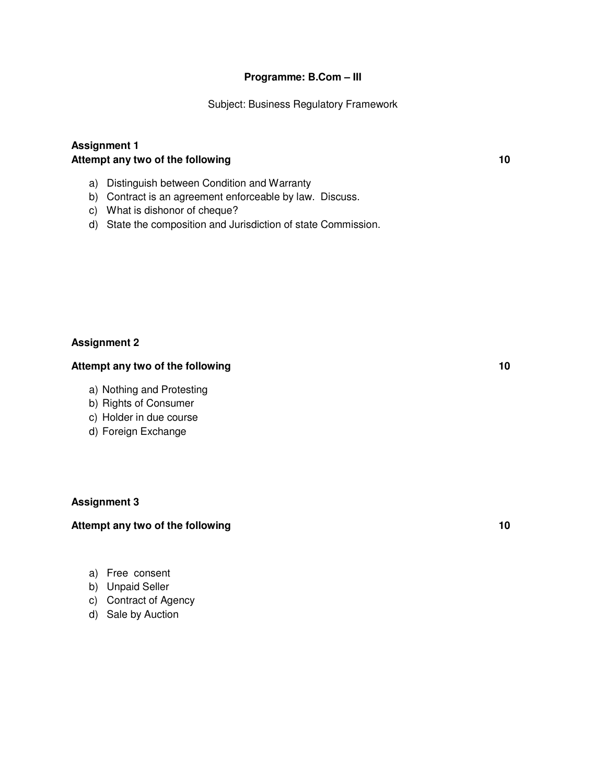## **Programme: B.Com – III**

Subject: Business Regulatory Framework

## **Assignment 1** Attempt any two of the following **10**

- a) Distinguish between Condition and Warranty
- b) Contract is an agreement enforceable by law. Discuss.
- c) What is dishonor of cheque?
- d) State the composition and Jurisdiction of state Commission.

## **Assignment 2**

#### Attempt any two of the following **10**

- a) Nothing and Protesting
- b) Rights of Consumer
- c) Holder in due course
- d) Foreign Exchange

#### **Assignment 3**

## Attempt any two of the following **10** and the set of the following **10**

- a) Free consent
- b) Unpaid Seller
- c) Contract of Agency
- d) Sale by Auction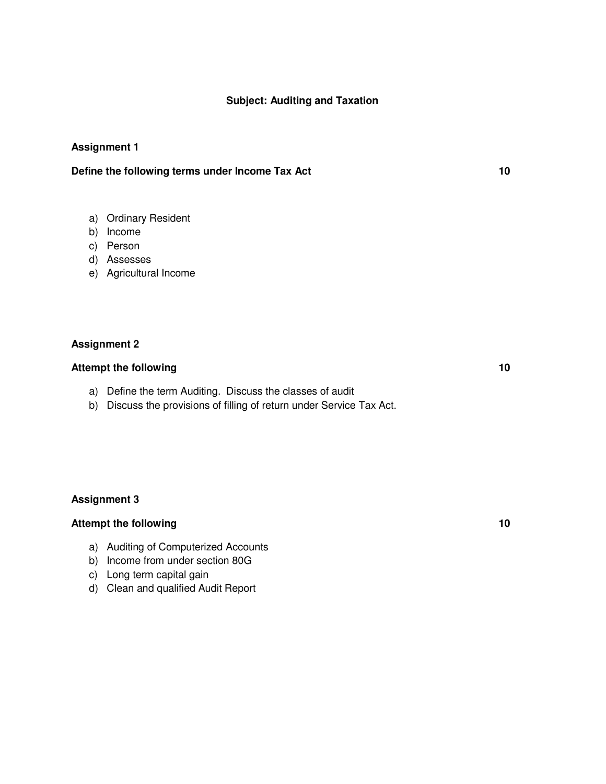## **Subject: Auditing and Taxation**

## **Assignment 1**

## **Define the following terms under Income Tax Act 10**

- a) Ordinary Resident
- b) Income
- c) Person
- d) Assesses
- e) Agricultural Income

## **Assignment 2**

## Attempt the following 10

- a) Define the term Auditing. Discuss the classes of audit
- b) Discuss the provisions of filling of return under Service Tax Act.

#### **Assignment 3**

## Attempt the following 10

- a) Auditing of Computerized Accounts
- b) Income from under section 80G
- c) Long term capital gain
- d) Clean and qualified Audit Report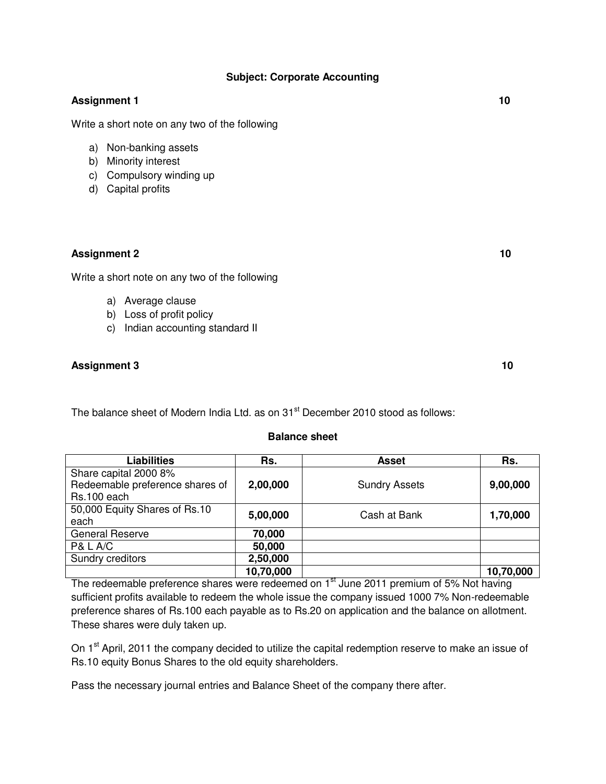## **Subject: Corporate Accounting**

## **Assignment 1** 10

Write a short note on any two of the following

- a) Non-banking assets
- b) Minority interest
- c) Compulsory winding up
- d) Capital profits

## **Assignment 2 10**

Write a short note on any two of the following

- a) Average clause
- b) Loss of profit policy
- c) Indian accounting standard II

## **Assignment 3** 10

The balance sheet of Modern India Ltd. as on 31<sup>st</sup> December 2010 stood as follows:

#### **Balance sheet**

| Liabilities                     | Rs.       | <b>Asset</b>         | Rs.       |
|---------------------------------|-----------|----------------------|-----------|
| Share capital 2000 8%           |           |                      |           |
| Redeemable preference shares of | 2,00,000  | <b>Sundry Assets</b> | 9,00,000  |
| Rs.100 each                     |           |                      |           |
| 50,000 Equity Shares of Rs.10   | 5,00,000  | Cash at Bank         | 1,70,000  |
| each                            |           |                      |           |
| <b>General Reserve</b>          | 70,000    |                      |           |
| <b>P&amp; L A/C</b>             | 50,000    |                      |           |
| Sundry creditors                | 2,50,000  |                      |           |
|                                 | 10,70,000 |                      | 10,70,000 |

The redeemable preference shares were redeemed on 1<sup>st</sup> June 2011 premium of 5% Not having sufficient profits available to redeem the whole issue the company issued 1000 7% Non-redeemable preference shares of Rs.100 each payable as to Rs.20 on application and the balance on allotment. These shares were duly taken up.

On 1<sup>st</sup> April, 2011 the company decided to utilize the capital redemption reserve to make an issue of Rs.10 equity Bonus Shares to the old equity shareholders.

Pass the necessary journal entries and Balance Sheet of the company there after.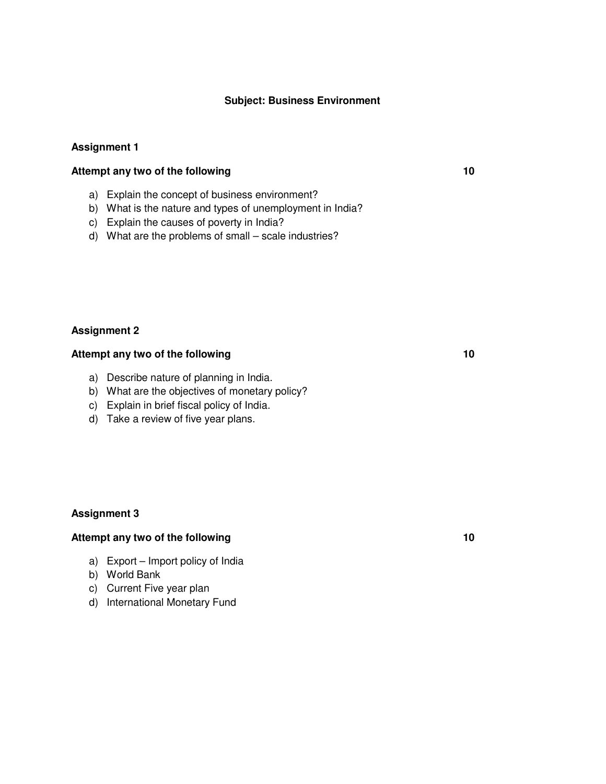## **Subject: Business Environment**

#### **Assignment 1**

## Attempt any two of the following **10**

- a) Explain the concept of business environment?
- b) What is the nature and types of unemployment in India?
- c) Explain the causes of poverty in India?
- d) What are the problems of small scale industries?

#### **Assignment 2**

## Attempt any two of the following **10**

- a) Describe nature of planning in India.
- b) What are the objectives of monetary policy?
- c) Explain in brief fiscal policy of India.
- d) Take a review of five year plans.

#### **Assignment 3**

## Attempt any two of the following **10** and the set of the following **10**

- a) Export Import policy of India
- b) World Bank
- c) Current Five year plan
- d) International Monetary Fund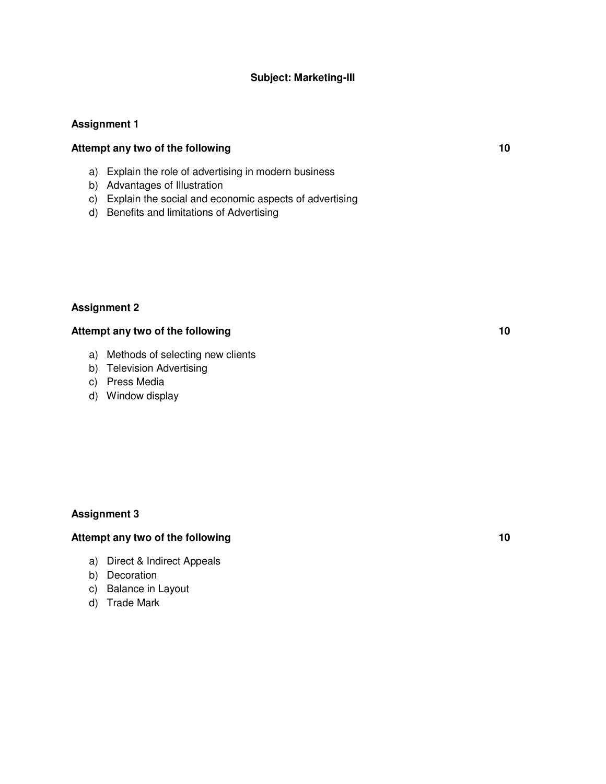## **Subject: Marketing-III**

#### **Assignment 1**

## Attempt any two of the following **10**

- a) Explain the role of advertising in modern business
- b) Advantages of Illustration
- c) Explain the social and economic aspects of advertising
- d) Benefits and limitations of Advertising

## **Assignment 2**

#### Attempt any two of the following **10** and the set of the following **10**

- a) Methods of selecting new clients
- b) Television Advertising
- c) Press Media
- d) Window display

## **Assignment 3**

## Attempt any two of the following **10**

- a) Direct & Indirect Appeals
- b) Decoration
- c) Balance in Layout
- d) Trade Mark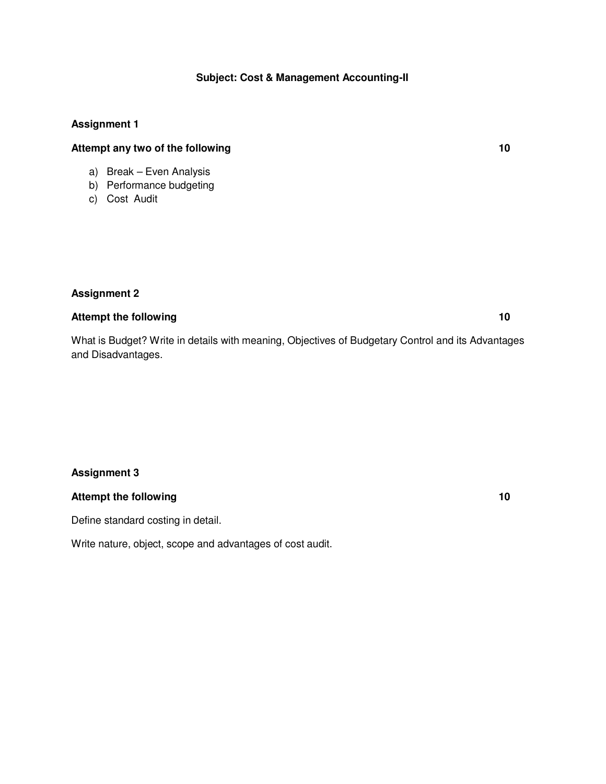## **Subject: Cost & Management Accounting-II**

## **Assignment 1**

## Attempt any two of the following **10**

- a) Break Even Analysis
- b) Performance budgeting
- c) Cost Audit

## **Assignment 2**

## Attempt the following 10

What is Budget? Write in details with meaning, Objectives of Budgetary Control and its Advantages and Disadvantages.

## **Assignment 3**

## Attempt the following 10

Define standard costing in detail.

Write nature, object, scope and advantages of cost audit.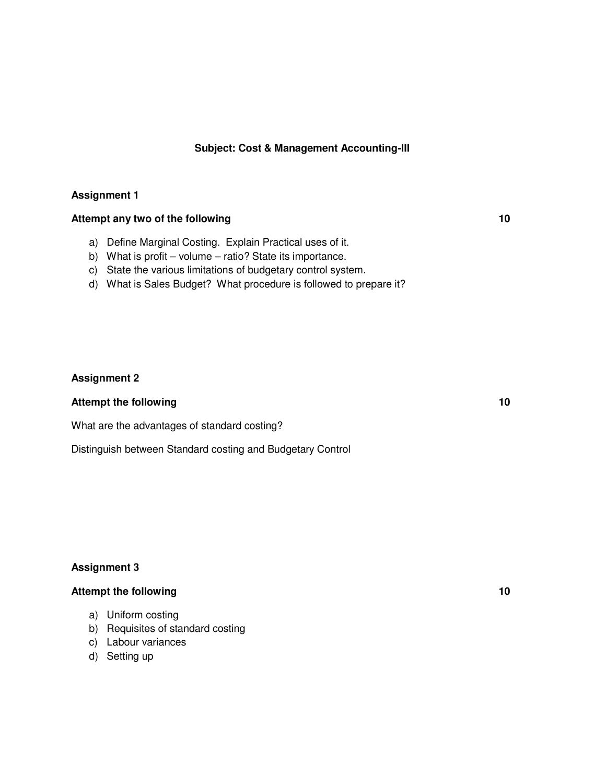#### **Subject: Cost & Management Accounting-III**

## **Assignment 1**

## Attempt any two of the following **10**

- a) Define Marginal Costing. Explain Practical uses of it.
- b) What is profit volume ratio? State its importance.
- c) State the various limitations of budgetary control system.
- d) What is Sales Budget? What procedure is followed to prepare it?

#### **Assignment 2**

#### Attempt the following 10

What are the advantages of standard costing?

Distinguish between Standard costing and Budgetary Control

#### **Assignment 3**

# Attempt the following 10

- a) Uniform costing
- b) Requisites of standard costing
- c) Labour variances
- d) Setting up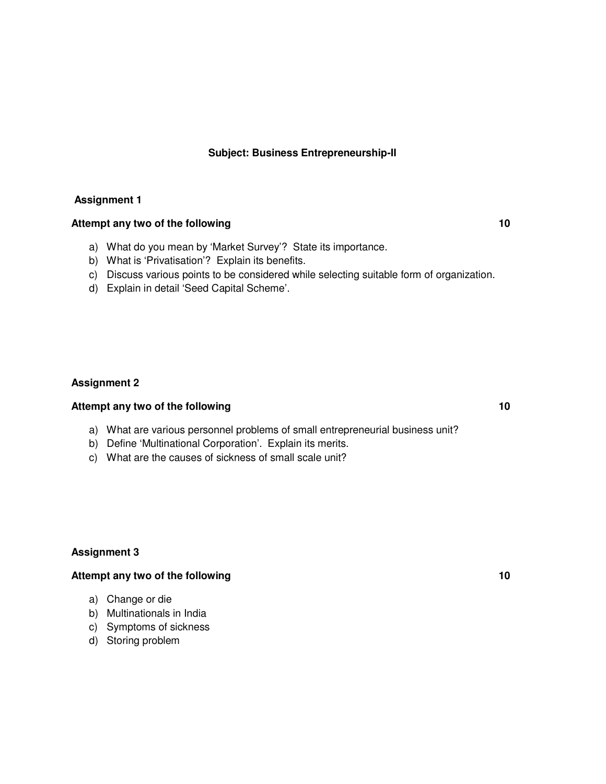#### **Subject: Business Entrepreneurship-II**

#### **Assignment 1**

## Attempt any two of the following **10**

- a) What do you mean by 'Market Survey'? State its importance.
- b) What is 'Privatisation'? Explain its benefits.
- c) Discuss various points to be considered while selecting suitable form of organization.
- d) Explain in detail 'Seed Capital Scheme'.

#### **Assignment 2**

## Attempt any two of the following **10**

- a) What are various personnel problems of small entrepreneurial business unit?
- b) Define 'Multinational Corporation'. Explain its merits.
- c) What are the causes of sickness of small scale unit?

#### **Assignment 3**

## Attempt any two of the following **10**

- a) Change or die
- b) Multinationals in India
- c) Symptoms of sickness
- d) Storing problem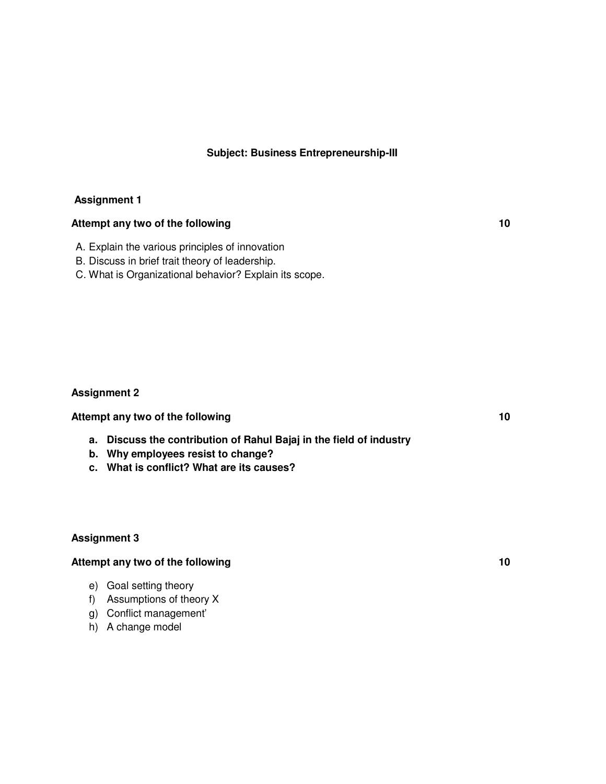## **Subject: Business Entrepreneurship-III**

#### **Assignment 1**

## Attempt any two of the following **10**

- A. Explain the various principles of innovation
- B. Discuss in brief trait theory of leadership.
- C. What is Organizational behavior? Explain its scope.

#### **Assignment 2**

Attempt any two of the following **10 Attempt any two of the following 10** 

- **a. Discuss the contribution of Rahul Bajaj in the field of industry**
- **b. Why employees resist to change?**
- **c. What is conflict? What are its causes?**

## **Assignment 3**

## Attempt any two of the following **10** and the set of the following **10**

- e) Goal setting theory
- f) Assumptions of theory X
- g) Conflict management'
- h) A change model